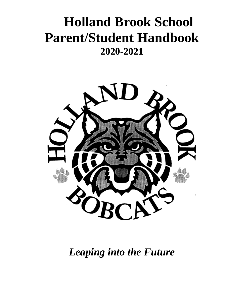# **Holland Brook School Parent/Student Handbook 2020-2021**



*Leaping into the Future*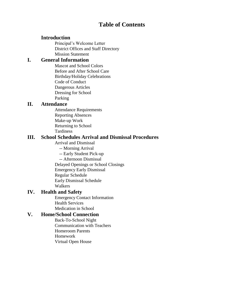# **Table of Contents**

# **Introduction**

Principal's Welcome Letter District Offices and Staff Directory Mission Statement

# **I. General Information**

Mascot and School Colors Before and After School Care Birthday/Holiday Celebrations Code of Conduct Dangerous Articles Dressing for School Parking

## **II. Attendance**

Attendance Requirements Reporting Absences Make-up Work Returning to School Tardiness

# **III. School Schedules Arrival and Dismissal Procedures**

Arrival and Dismissal

-- Morning Arrival

- -- Early Student Pick-up
- -- Afternoon Dismissal
- Delayed Openings or School Closings

Emergency Early Dismissal

Regular Schedule

Early Dismissal Schedule

Walkers

# **IV. Health and Safety**

Emergency Contact Information Health Services Medication in School

# **V. Home/School Connection**

Back-To-School Night Communication with Teachers Homeroom Parents Homework Virtual Open House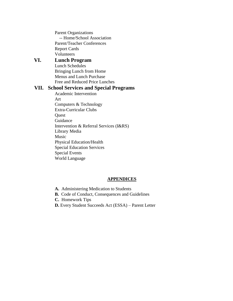Parent Organizations -- Home/School Association Parent/Teacher Conferences Report Cards Volunteers

# **VI. Lunch Program**

Lunch Schedules Bringing Lunch from Home Menus and Lunch Purchase Free and Reduced Price Lunches

#### **VII. School Services and Special Programs**

Academic Intervention Art Computers & Technology Extra-Curricular Clubs **Ouest** Guidance Intervention & Referral Services (I&RS) Library Media Music Physical Education/Health Special Education Services Special Events World Language

#### **APPENDICES**

- **A.** Administering Medication to Students
- **B.** Code of Conduct, Consequences and Guidelines
- **C.** Homework Tips
- **D.** Every Student Succeeds Act (ESSA) Parent Letter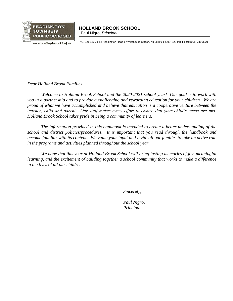

# **READINGTON | HOLLAND BROOK SCHOOL**

————————————————————<br>www.readington.k12.nj.us P.O. Box 1500 ● 52 Readington Road ● Whitehouse Station, NJ 08889 ● (908) 823-0454 ● fax (908) 349-3021

*Dear Holland Brook Families,*

*Welcome to Holland Brook School and the 2020-2021 school year! Our goal is to work with you in a partnership and to provide a challenging and rewarding education for your children. We are proud of what we have accomplished and believe that education is a cooperative venture between the teacher, child and parent. Our staff makes every effort to ensure that your child's needs are met. Holland Brook School takes pride in being a community of learners.*

*The information provided in this handbook is intended to create a better understanding of the school and district policies/procedures. It is important that you read through the handbook and become familiar with its contents. We value your input and invite all our families to take an active role in the programs and activities planned throughout the school year.* 

*We hope that this year at Holland Brook School will bring lasting memories of joy, meaningful learning, and the excitement of building together a school community that works to make a difference in the lives of all our children.*

*Sincerely,* 

*Paul Nigro, Principal*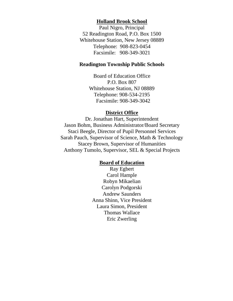#### **Holland Brook School**

Paul Nigro, Principal 52 Readington Road, P.O. Box 1500 Whitehouse Station, New Jersey 08889 Telephone: 908-823-0454 Facsimile: 908-349-3021

## **Readington Township Public Schools**

Board of Education Office P.O. Box 807 Whitehouse Station, NJ 08889 Telephone: 908-534-2195 Facsimile: 908-349-3042

#### **District Office**

Dr. Jonathan Hart, Superintendent Jason Bohm, Business Administrator/Board Secretary Staci Beegle, Director of Pupil Personnel Services Sarah Pauch, Supervisor of Science, Math & Technology Stacey Brown, Supervisor of Humanities Anthony Tumolo, Supervisor, SEL & Special Projects

#### **Board of Education**

Ray Egbert Carol Hample Robyn Mikaelian Carolyn Podgorski Andrew Saunders Anna Shinn, Vice President Laura Simon, President Thomas Wallace Eric Zwerling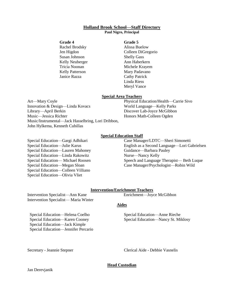# **Holland Brook School—Staff Directory**

#### **Paul Nigro, Principal**

#### **Grade 4**

Rachel Brodsky Jen Higdon Susan Johnson Kelly Neuberger Tricia Noonan Kelly Patterson Janice Razza

#### **Grade 5**

Alissa Buelow Colleen DiGregorio Shelly Gass Ann Haberkern Michele Krayem Mary Padavano Cathy Patrick Linda Riess Meryl Vance

#### **Special Area Teachers**

Art—Mary Coyle Innovation & Design—Linda Kovacs Library—April Berkin Music—Jessica Richter Music/Instrumental—Jack Hasselbring, Lori Dribbon, John Hylkema, Kenneth Cubillas

Physical Education/Health—Carrie Sivo World Language—Kelly Parks Discover Lab-Joyce McGibbon Honors Math-Colleen Ogden

#### **Special Education Staff**

Special Education—Gargi Adhikari Special Education—Julie Karus Special Education—Lauren Mahoney Special Education—Linda Rakowitz Special Education— Michael Roosen Special Education—Megan Sloan Special Education—Colleen Villiano Special Education—Olivia Vliet

#### Case Manager/LDTC—Sheri Simonetti English as a Second Language—Lori Gabrielsen Guidance—Barbara Pauley Nurse—Nancy Kelly Speech and Language Therapist— Beth Luque Case Manager/Psychologist—Robin Wild

#### **Intervention/Enrichment Teachers**

Intervention Specialist—Ann Kane Intervention Specialist— Maria Winter

Special Education—Helena Coelho Special Education—Karen Cooney Special Education—Jack Kimple Special Education—Jennifer Percario Enrichment—Joyce McGibbon

#### **Aides**

Special Education—Anne Rieche Special Education—Nancy St. Miklosy

Secretary - Jeannie Stepner Clerical Aide - Debbie Vasnelis

#### **Head Custodian**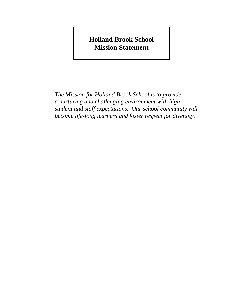# **Holland Brook School Mission Statement**

*The Mission for Holland Brook School is to provide a nurturing and challenging environment with high student and staff expectations. Our school community will become life-long learners and foster respect for diversity.*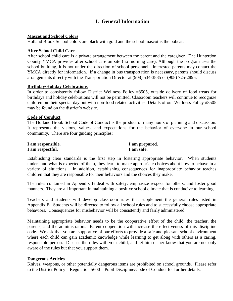# **I. General Information**

#### **Mascot and School Colors**

Holland Brook School colors are black with gold and the school mascot is the bobcat.

#### **After School Child Care**

After school child care is a private arrangement between the parent and the caregiver. The Hunterdon County YMCA provides after school care on site (no morning care). Although the program uses the school building, it is not under the direction of school personnel. Interested parents may contact the YMCA directly for information. If a change in bus transportation is necessary, parents should discuss arrangements directly with the Transportation Director at (908) 534-3835 or (908) 725-2895.

#### **Birthday/Holiday Celebrations**

In order to consistently follow District Wellness Policy #8505, outside delivery of food treats for birthdays and holiday celebrations will not be permitted. Classroom teachers will continue to recognize children on their special day but with non-food related activities. Details of our Wellness Policy #8505 may be found on the district's website.

#### **Code of Conduct**

The Holland Brook School Code of Conduct is the product of many hours of planning and discussion. It represents the visions, values, and expectations for the behavior of everyone in our school community. There are four guiding principles:

| I am responsible. | I am prepared. |
|-------------------|----------------|
| I am respectful.  | I am safe.     |

Establishing clear standards is the first step in fostering appropriate behavior. When students understand what is expected of them, they learn to make appropriate choices about how to behave in a variety of situations. In addition, establishing consequences for inappropriate behavior teaches children that they are responsible for their behaviors and the choices they make.

The rules contained in Appendix B deal with safety, emphasize respect for others, and foster good manners. They are all important in maintaining a positive school climate that is conducive to learning.

Teachers and students will develop classroom rules that supplement the general rules listed in Appendix B. Students will be directed to follow all school rules and to successfully choose appropriate behaviors. Consequences for misbehavior will be consistently and fairly administered.

Maintaining appropriate behavior needs to be the cooperative effort of the child, the teacher, the parents, and the administrators. Parent cooperation will increase the effectiveness of this discipline code. We ask that you are supportive of our efforts to provide a safe and pleasant school environment where each child can gain academic knowledge while learning to get along with others as a caring, responsible person. Discuss the rules with your child, and let him or her know that you are not only aware of the rules but that you support them.

#### **Dangerous Articles**

Knives, weapons, or other potentially dangerous items are prohibited on school grounds. Please refer to the District Policy – Regulation 5600 – Pupil Discipline/Code of Conduct for further details.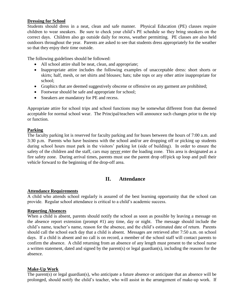#### **Dressing for School**

Students should dress in a neat, clean and safe manner. Physical Education (PE) classes require children to wear sneakers. Be sure to check your child's PE schedule so they bring sneakers on the correct days. Children also go outside daily for recess, weather permitting. PE classes are also held outdoors throughout the year. Parents are asked to see that students dress appropriately for the weather so that they enjoy their time outside.

The following guidelines should be followed:

- All school attire shall be neat, clean, and appropriate;
- Inappropriate attire includes the following examples of unacceptable dress: short shorts or skirts; half, mesh, or net shirts and blouses; hats; tube tops or any other attire inappropriate for school;
- Graphics that are deemed suggestively obscene or offensive on any garment are prohibited;
- Footwear should be safe and appropriate for school;
- Sneakers are mandatory for PE and recess.

Appropriate attire for school trips and school functions may be somewhat different from that deemed acceptable for normal school wear. The Principal/teachers will announce such changes prior to the trip or function.

#### **Parking**

The faculty parking lot is reserved for faculty parking and for buses between the hours of 7:00 a.m. and 3:30 p.m. Parents who have business with the school and/or are dropping off or picking up students during school hours must park in the visitors' parking lot (side of building). In order to ensure the safety of the children and the staff, cars may never enter the loading zone. This area is designated as a fire safety zone. During arrival times, parents must use the parent drop off/pick up loop and pull their vehicle forward to the beginning of the drop-off area.

#### **II. Attendance**

#### **Attendance Requirements**

A child who attends school regularly is assured of the best learning opportunity that the school can provide. Regular school attendance is critical to a child's academic success.

#### **Reporting Absences**

When a child is absent, parents should notify the school as soon as possible by leaving a message on the absence report extension (prompt #1) any time, day or night. The message should include the child's name, teacher's name, reason for the absence, and the child's estimated date of return. Parents should call the school each day that a child is absent. Messages are retrieved after 7:50 a.m. on school days. If a child is absent and no call is on record, a member of the school staff will contact parents to confirm the absence. A child returning from an absence of any length must present to the school nurse a written statement, dated and signed by the parent(s) or legal guardian(s), including the reasons for the absence.

#### **Make-Up Work**

The parent(s) or legal guardian(s), who anticipate a future absence or anticipate that an absence will be prolonged, should notify the child's teacher, who will assist in the arrangement of make-up work. If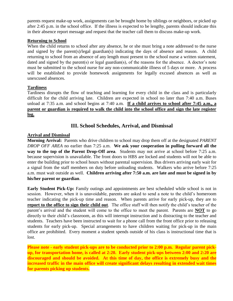parents request make-up work, assignments can be brought home by siblings or neighbors, or picked up after 2:45 p.m. in the school office. If the illness is expected to be lengthy, parents should indicate this in their absence report message and request that the teacher call them to discuss make-up work.

#### **Returning to School**

When the child returns to school after any absence, he or she must bring a note addressed to the nurse and signed by the parent(s)/legal guardian(s) indicating the days of absence and reason. A child returning to school from an absence of any length must present to the school nurse a written statement, dated and signed by the parent(s) or legal guardian(s), of the reasons for the absence. A doctor's note must be submitted to the school nurse for any non-communicable illness of 5 days or more. A process will be established to provide homework assignments for legally excused absences as well as unexcused absences.

#### **Tardiness**

Tardiness disrupts the flow of teaching and learning for every child in the class and is particularly difficult for the child arriving late. Children are expected in school no later than 7:40 a.m. Buses unload at 7:35 a.m. and school begins at 7:40 a.m. **If a child arrives to school after 7:45 a.m., a parent or guardian is required to walk the child into the school office and sign the late register log.**

#### **III. School Schedules, Arrival, and Dismissal**

#### **Arrival and Dismissal**

**Morning Arrival:** Parents who drive children to school may drop them off at the designated *PARENT DROP OFF AREA* no earlier than 7:25 a.m. **We ask your cooperation in pulling forward all the way to the top of the Parent Drop-Off area**. Students may not arrive at school before 7:25 a.m. because supervision is unavailable. The front doors to HBS are locked and students will not be able to enter the building prior to school hours without parental supervision. Bus drivers arriving early wait for a signal from the staff members on duty before unloading students. Walkers who arrive before 7:25 a.m. must wait outside as well. **Children arriving after 7:50 a.m. are late and must be signed in by his/her parent or guardian**.

**Early Student Pick-Up:** Family outings and appointments are best scheduled while school is not in session. However, when it is unavoidable, parents are asked to send a note to the child's homeroom teacher indicating the pick-up time and reason. When parents arrive for early pick-up, they are to **report to the office to sign their child out**. The office staff will then notify the child's teacher of the parent's arrival and the student will come to the office to meet the parent. Parents are **NOT** to go directly to their child's classroom, as this will interrupt instruction and is distracting to the teacher and students. Teachers have been instructed to wait for a phone call from the front office prior to releasing students for early pick-up. Special arrangements to have children waiting for pick-up in the main office are prohibited. Every moment a student spends outside of his class is instructional time that is lost.

**Please note - early student pick-ups are to be conducted prior to 2:00 p.m. Regular parent pickup, for transportation home, is called at 2:20. Early student pick-ups between 2:00 and 2:20 are discouraged and should be avoided. At this time of day, the office is extremely busy and the increased traffic in the main office will create significant delays resulting in extended wait times for parents picking up students.**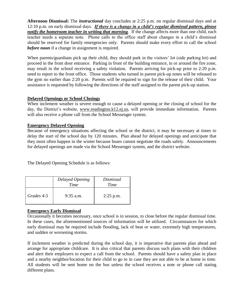**Afternoon Dismissal:** The *instructional* day concludes at 2:25 p.m. on regular dismissal days and at 12:10 p.m. on early dismissal days. *If there is a change in a child's regular dismissal pattern, please notify the homeroom teacher in writing that morning.* If the change affects more than one child, each teacher needs a separate note. Phone calls to the office staff about changes in a child's dismissal should be reserved for family emergencies only. Parents should make every effort to call the school *before noon* if a change in assignment is required.

When parents/guardians pick up their child, they should park in the visitors' lot (side parking lot) and proceed in the front door entrance. Parking in front of the building entrance, in or around the fire zone, may result in the school receiving a safety violation. Parents arriving for pick-up prior to 2:20 p.m. need to report to the front office. Those students who turned in parent pick-up notes will be released to the gym no earlier than 2:20 p.m. Parents will be required to sign for the release of their child. Your assistance is requested by following the directions of the staff assigned to the parent pick-up station.

#### **Delayed Openings or School Closings**

When inclement weather is severe enough to cause a delayed opening or the closing of school for the day, the District's website, [www.readington.k12.nj.us,](http://www.readington.k12.nj.us/) will provide immediate information. Parents will also receive a phone call from the School Messenger system.

#### **Emergency Delayed Opening**

Because of emergency situations affecting the school or the district, it may be necessary at times to delay the start of the school day by 120 minutes. Plan ahead for delayed openings and anticipate that they most often happen in the winter because buses cannot negotiate the roads safely. Announcements for delayed openings are made via the School Messenger system, and the district website.

The Delayed Opening Schedule is as follows:

|            | Delayed Opening<br>Time | Dismissal<br>Time |
|------------|-------------------------|-------------------|
| Grades 4-5 | $9:35$ a.m.             | $2:25$ p.m.       |

#### **Emergency Early Dismissal**

Occasionally it becomes necessary, once school is in session, to close before the regular dismissal time. In these cases, the aforementioned sources of information will be utilized. Circumstances for which early dismissal may be required include flooding, lack of heat or water, extremely high temperatures, and sudden or worsening storms.

If inclement weather is predicted during the school day, it is imperative that parents plan ahead and arrange for appropriate childcare. It is also critical that parents discuss such plans with their children and alert their employers to expect a call from the school. Parents should have a safety plan in place and a nearby neighbor/location for their child to go to in case they are not able to be at home in time. All students will be sent home on the bus unless the school receives a note or phone call stating different plans.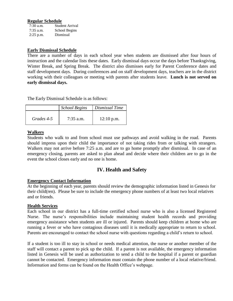#### **Regular Schedule**

| $7:30$ a.m. | Student Arrival |
|-------------|-----------------|
| $7:35$ a.m. | School Begins   |
| $2:25$ p.m. | Dismissal       |

#### **Early Dismissal Schedule**

There are a number of days in each school year when students are dismissed after four hours of instruction and the calendar lists these dates. Early dismissal days occur the days before Thanksgiving, Winter Break, and Spring Break. The district also dismisses early for Parent Conference dates and staff development days. During conferences and on staff development days, teachers are in the district working with their colleagues or meeting with parents after students leave. **Lunch is not served on early dismissal days.**

The Early Dismissal Schedule is as follows:

|            | <b>School Begins</b> | Dismissal Time |
|------------|----------------------|----------------|
| Grades 4-5 | $7:35$ a.m.          | $12:10$ p.m.   |

#### **Walkers**

Students who walk to and from school must use pathways and avoid walking in the road. Parents should impress upon their child the importance of not taking rides from or talking with strangers. Walkers may not arrive before 7:25 a.m. and are to go home promptly after dismissal. In case of an emergency closing, parents are asked to plan ahead and decide where their children are to go in the event the school closes early and no one is home.

#### **IV. Health and Safety**

#### **Emergency Contact Information**

At the beginning of each year, parents should review the demographic information listed in Genesis for their child(ren). Please be sure to include the emergency phone numbers of at least two local relatives and or friends.

#### **Health Services**

Each school in our district has a full-time certified school nurse who is also a licensed Registered Nurse. The nurse's responsibilities include maintaining student health records and providing emergency assistance when students are ill or injured. Parents should keep children at home who are running a fever or who have contagious diseases until it is medically appropriate to return to school. Parents are encouraged to contact the school nurse with questions regarding a child's return to school.

If a student is too ill to stay in school or needs medical attention, the nurse or another member of the staff will contact a parent to pick up the child. If a parent is not available, the emergency information listed in Genesis will be used as authorization to send a child to the hospital if a parent or guardian cannot be contacted. Emergency information must contain the phone number of a local relative/friend. Information and forms can be found on the Health Office's webpage.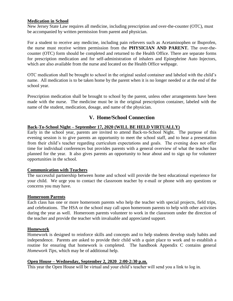#### **Medication in School**

New Jersey State Law requires all medicine, including prescription and over-the-counter (OTC), must be accompanied by written permission from parent and physician.

For a student to receive any medicine, including pain relievers such as Acetaminophen or Ibuprofen, the nurse must receive written permission from the **PHYSICIAN AND PARENT.** The over-thecounter (OTC) form should be completed and returned to the Health Office. There are separate forms for prescription medication and for self-administration of inhalers and Epinephrine Auto Injectors, which are also available from the nurse and located on the Health Office webpage.

OTC medication shall be brought to school in the original sealed container and labeled with the child's name. All medication is to be taken home by the parent when it is no longer needed or at the end of the school year.

Prescription medication shall be brought to school by the parent, unless other arrangements have been made with the nurse. The medicine must be in the original prescription container, labeled with the name of the student, medication, dosage, and name of the physician.

# **V. Home/School Connection**

#### **Back-To-School Night – September 17, 2020 (WILL BE HELD VIRTUALLY)**

Early in the school year, parents are invited to attend Back-to-School Night. The purpose of this evening session is to give parents an opportunity to meet the school staff, and to hear a presentation from their child's teacher regarding curriculum expectations and goals. The evening does not offer time for individual conferences but provides parents with a general overview of what the teacher has planned for the year. It also gives parents an opportunity to hear about and to sign up for volunteer opportunities in the school.

#### **Communication with Teachers**

The successful partnership between home and school will provide the best educational experience for your child. We urge you to contact the classroom teacher by e-mail or phone with any questions or concerns you may have.

#### **Homeroom Parents**

Each class has one or more homeroom parents who help the teacher with special projects, field trips, and celebrations. The HSA or the school may call upon homeroom parents to help with other activities during the year as well. Homeroom parents volunteer to work in the classroom under the direction of the teacher and provide the teacher with invaluable and appreciated support.

#### **Homework**

Homework is designed to reinforce skills and concepts and to help students develop study habits and independence. Parents are asked to provide their child with a quiet place to work and to establish a routine for ensuring that homework is completed. The handbook Appendix C contains general *Homework Tips,* which may be of additional help.

#### **Open House – Wednesday, September 2, 2020** - **2:00-2:30 p.m.**

This year the Open House will be virtual and your child's teacher will send you a link to log in.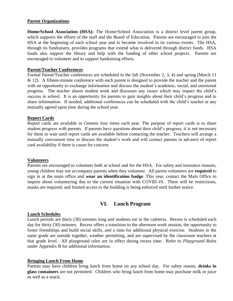#### **Parent Organizations**

**Home/School Association (HSA):** The Home/School Association is a district level parent group, which supports the efforts of the staff and the Board of Education. Parents are encouraged to join the HSA at the beginning of each school year and to become involved in its various events. The HSA, through its fundraisers, provides programs that extend what is delivered through district funds. HSA funds also support the library and help with the funding of other school projects. Parents are encouraged to volunteer and to support fundraising efforts.

#### **Parent/Teacher Conferences**

Formal Parent/Teacher conferences are scheduled in the fall (November 2, 3, 4) and spring (March 11  $& 12$ ). A fifteen-minute conference with each parent is designed to provide the teacher and the parent with an opportunity to exchange information and discuss the student's academic, social, and emotional progress. The teacher shares student work and discusses any issues which may impact the child's success in school. It is an opportunity for parents to gain insights about their child's progress and to share information. If needed, additional conferences can be scheduled with the child's teacher at any mutually agreed upon time during the school year.

#### **Report Cards**

Report cards are available in Genesis four times each year. The purpose of report cards is to share student progress with parents. If parents have questions about their child's progress, it is not necessary for them to wait until report cards are available before contacting the teacher. Teachers will arrange a mutually convenient time to discuss the student's work and will contact parents in advance of report card availability if there is cause for concern.

#### **Volunteers**

Parents are encouraged to volunteer both at school and for the HSA. For safety and insurance reasons, young children may not accompany parents when they volunteer. All parent volunteers are **required** to sign in at the main office and **wear an identification badge**. This year, contact the Main Office to inquire about volunteering due to the current situation with COVID-19. There will be restirctions, masks are required, and limited access to the building is being enforced until further notice.

#### **VI. Lunch Program**

#### **Lunch Schedules**

Lunch periods are thirty (30) minutes long and students eat in the cafeteria. Recess is scheduled each day for thirty (30) minutes. Recess offers a transition to the afternoon work session, the opportunity to foster friendships and build social skills, and a time for additional physical exercise. Students in the same grade are outside together, weather permitting, and are supervised by the classroom teachers at that grade level. All playground rules are in effect during recess time. Refer to *Playground Rules* under Appendix B for additional information.

#### **Bringing Lunch From Home**

Parents may have children bring lunch from home on any school day. For safety reason, **drinks in glass containers** are not permitted. Children who bring lunch from home may purchase milk or juice as well as a snack.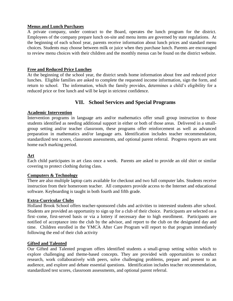#### **Menus and Lunch Purchases**

A private company, under contract to the Board, operates the lunch program for the district. Employees of the company prepare lunch on-site and menu items are governed by state regulations. At the beginning of each school year, parents receive information about lunch prices and standard menu choices. Students may choose between milk or juice when they purchase lunch. Parents are encouraged to review menu choices with their children and the monthly menus can be found on the district website.

#### **Free and Reduced Price Lunches**

At the beginning of the school year, the district sends home information about free and reduced price lunches. Eligible families are asked to complete the requested income information, sign the form, and return to school. The information, which the family provides, determines a child's eligibility for a reduced price or free lunch and will be kept in strictest confidence.

# **VII. School Services and Special Programs**

#### **Academic Intervention**

Intervention programs in language arts and/or mathematics offer small group instruction to those students identified as needing additional support in either or both of those areas. Delivered in a smallgroup setting and/or teacher classroom, these programs offer reinforcement as well as advanced preparation in mathematics and/or language arts. Identification includes teacher recommendation, standardized test scores, classroom assessments, and optional parent referral. Progress reports are sent home each marking period.

#### **Art**

Each child participates in art class once a week. Parents are asked to provide an old shirt or similar covering to protect clothing during class.

#### **Computers & Technology**

There are also multiple laptop carts available for checkout and two full computer labs. Students receive instruction from their homeroom teacher. All computers provide access to the Internet and educational software. Keyboarding is taught in both fourth and fifth grade.

#### **Extra-Curricular Clubs**

Holland Brook School offers teacher-sponsored clubs and activities to interested students after school. Students are provided an opportunity to sign up for a club of their choice. Participants are selected on a first–come, first-served basis or via a lottery if necessary due to high enrollment. Participants are notified of acceptance into the club by the advisor, and report to the club on the designated day and time. Children enrolled in the YMCA After Care Program will report to that program immediately following the end of their club activity

#### **Gifted and Talented**

Our Gifted and Talented program offers identified students a small-group setting within which to explore challenging and theme-based concepts. They are provided with opportunities to conduct research, work collaboratively with peers, solve challenging problems, prepare and present to an audience, and explore and debate essential questions. Identification includes teacher recommendation, standardized test scores, classroom assessments, and optional parent referral.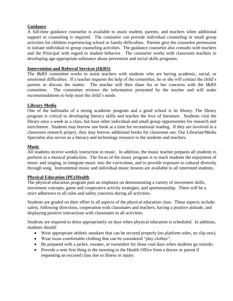#### **Guidance**

A full-time guidance counselor is available to assist student, parents, and teachers when additional support or counseling is required. The counselor can provide individual counseling or small group activities for children experiencing school or family difficulties. Parents give the counselor permission to initiate individual or group counseling activities. The guidance counselor also consults with teachers and the Principal with regard to student behavior. The counselor works with classroom teachers in developing age-appropriate substance abuse prevention and social skills programs.

#### **Intervention and Referral Services (I&RS)**

The I&RS committee works to assist teachers with students who are having academic, social, or emotional difficulties. If a teacher requests the help of the committee, he or she will contact the child's parents to discuss the matter. The teacher will then share his or her concerns with the I&RS committee. The committee reviews the information presented by the teacher and will make recommendations to help meet the child's needs.

#### **Library Media**

One of the hallmarks of a strong academic program and a good school is its library. The library program is critical to developing literacy skills and teaches the love of literature. Students visit the library once a week as a class, but have other individual and small group opportunities for research and enrichment. Students may borrow one book at a time for recreational reading. If they are involved in a classroom research project, they may borrow additional books for classroom use. Our Librarian/Media Specialist also serves as a literacy and technology resource to the students and teachers.

#### **Music**

All students receive weekly instruction in music. In addition, the music teacher prepares all students to perform in a musical production. The focus of the music program is to teach students the enjoyment of music and singing, to integrate music into the curriculum, and to provide exposure to cultural diversity through song. Instrumental music and individual music lessons are available to all interested students.

#### **Physical Education (PE)/Health**

The physical education program puts an emphasis on demonstrating a variety of movement skills, movement concepts, game and cooperative activity strategies, and sportsmanship. There will be a strict adherence to all rules and safety concerns during all activities.

Students are graded on their effort in all aspects of the physical education class. These aspects include: safety, following directions, cooperation with classmates and teachers, having a positive attitude, and displaying positive interactions with classmates in all activities.

Students are required to dress appropriately on days when physical education is scheduled. In addition, students should:

- Wear appropriate athletic sneakers that can be secured properly (no platform soles, no slip-ons);
- Wear loose comfortable clothing that can be considered "play clothes";
- Be prepared with a jacket, sweater, or sweatshirt for those cool days when students go outside;
- Provide a note first thing in the morning to the Health Office from a doctor or parent if requesting an excused class due to illness or injury.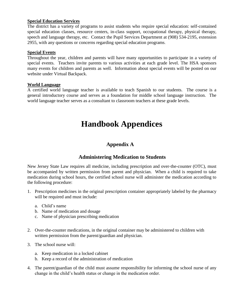#### **Special Education Services**

The district has a variety of programs to assist students who require special education: self-contained special education classes, resource centers, in-class support, occupational therapy, physical therapy, speech and language therapy, etc. Contact the Pupil Services Department at (908) 534-2195, extension 2955, with any questions or concerns regarding special education programs.

#### **Special Events**

Throughout the year, children and parents will have many opportunities to participate in a variety of special events. Teachers invite parents to various activities at each grade level. The HSA sponsors many events for children and parents as well. Information about special events will be posted on our website under Virtual Backpack.

#### **World Language**

A certified world language teacher is available to teach Spanish to our students. The course is a general introductory course and serves as a foundation for middle school language instruction. The world language teacher serves as a consultant to classroom teachers at these grade levels.

# **Handbook Appendices**

# **Appendix A**

# **Administering Medication to Students**

New Jersey State Law requires all medicine, including prescription and over-the-counter (OTC), must be accompanied by written permission from parent and physician. When a child is required to take medication during school hours, the certified school nurse will administer the medication according to the following procedure:

- 1. Prescription medicines in the original prescription container appropriately labeled by the pharmacy will be required and must include:
	- a. Child's name
	- b. Name of medication and dosage
	- c. Name of physician prescribing medication
- 2. Over-the-counter medications, in the original container may be administered to children with written permission from the parent/guardian and physician.
- 3. The school nurse will:
	- a. Keep medication in a locked cabinet
	- b. Keep a record of the administration of medication
- 4. The parent/guardian of the child must assume responsibility for informing the school nurse of any change in the child's health status or change in the medication order.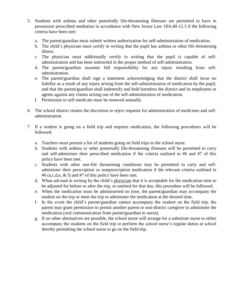- 5. Students with asthma and other potentially life-threatening illnesses are permitted to have in possession prescribed mediation in accordance with New Jersey Law 18A:40-12.3 if the following criteria have been met:
	- a. The parent/guardian must submit written authorization for self-administration of medication.
	- b. The child's physician must certify in writing that the pupil has asthma or other life-threatening illness.
	- c. The physician must additionally certify in writing that the pupil is capable of selfadministration and has been instructed in the proper method of self-administration.
	- d. The parent/guardian assumes full responsibility for any injury resulting from selfadministration.
	- e. The parent/guardian shall sign a statement acknowledging that the district shall incur no liability as a result of any injury arising from the self-administration of medication by the pupil, and that the parent/guardian shall indemnify and hold harmless the district and its employees or agents against any claims arising out of the self-administration of medication.
	- f. Permission to self-medicate must be renewed annually.
- 6. The school district retains the discretion to reject requests for administration of medicines and selfadministration.
- 7. If a student is going on a field trip and requires medication, the following procedures will be followed:
	- a. Teachers must present a list of students going on field trips to the school nurse.
	- b. Students with asthma or other potentially life-threatening illnesses will be permitted to carry and self-administer their prescribed medication if the criteria outlined in #6 and #7 of this policy have been met.
	- c. Students with other non-life threatening conditions may be permitted to carry and selfadminister their prescription or nonprescription medication if the relevant criteria outlined in #6 (a,c,d,e,  $\&$  f) and #7 of this policy have been met.
	- d. When advised in writing by the child's physician that it is acceptable for the medication time to be adjusted for before or after the trip, or omitted for that day, this procedure will be followed.
	- e. When the medication must be administered on time, the parent/guardian may accompany the student on the trip or meet the trip to administer the medication at the desired time.
	- f. In the event the child's parent/guardian cannot accompany the student on the field trip, the parent may grant permission to permit another parent or non-district caregiver to administer the medication (oral communication from parent/guardian to nurse).
	- g. If no other alternatives are possible, the school nurse will arrange for a substitute nurse to either accompany the students on the field trip or perform the school nurse's regular duties at school thereby permitting the school nurse to go on the field trip.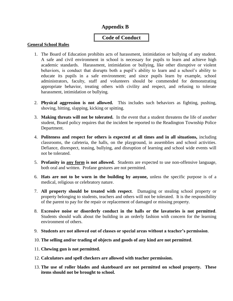# **Appendix B**

# **Code of Conduct**

#### **General School Rules**

- 1. The Board of Education prohibits acts of harassment, intimidation or bullying of any student. A safe and civil environment in school is necessary for pupils to learn and achieve high academic standards. Harassment, intimidation or bullying, like other disruptive or violent behaviors, is conduct that disrupts both a pupil's ability to learn and a school's ability to educate its pupils in a safe environment; and since pupils learn by example, school administrators, faculty, staff and volunteers should be commended for demonstrating appropriate behavior, treating others with civility and respect, and refusing to tolerate harassment, intimidation or bullying.
- 2. **Physical aggression is not allowed.** This includes such behaviors as fighting, pushing, shoving, hitting, slapping, kicking or spitting.
- 3. **Making threats will not be tolerated.** In the event that a student threatens the life of another student, Board policy requires that the incident be reported to the Readington Township Police Department.
- 4. **Politeness and respect for others is expected at all times and in all situations,** including classrooms, the cafeteria, the halls, on the playground, in assemblies and school activities. Defiance, disrespect, teasing, bullying, and disruption of learning and school wide events will not be tolerated.
- 5. **Profanity in any form is not allowed.** Students are expected to use non-offensive language, both oral and written. Profane gestures are not permitted.
- 6. **Hats are not to be worn in the building by anyone,** unless the specific purpose is of a medical, religious or celebratory nature.
- 7. **All property should be treated with respect**. Damaging or stealing school property or property belonging to students, teachers and others will not be tolerated. It is the responsibility of the parent to pay for the repair or replacement of damaged or missing property.
- 8. **Excessive noise or disorderly conduct in the halls or the lavatories is not permitted**. Students should walk about the building in an orderly fashion with concern for the learning environment of others.
- 9. **Students are not allowed out of classes or special areas without a teacher's permission**.
- 10. **The selling and/or trading of objects and goods of any kind are not permitted**.
- 11. **Chewing gun is not permitted.**
- 12. **Calculators and spell checkers are allowed with teacher permission.**
- 13. **The use of roller blades and skateboard are not permitted on school property. These items should not be brought to school.**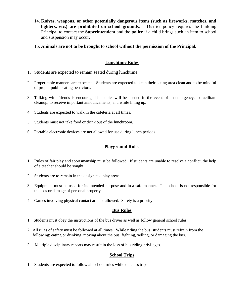- 14. **Knives, weapons, or other potentially dangerous items (such as fireworks, matches, and lighters, etc.) are prohibited on school grounds**. District policy requires the building Principal to contact the **Superintendent** and the **police** if a child brings such an item to school and suspension may occur.
- 15. **Animals are not to be brought to school without the permission of the Principal.**

#### **Lunchtime Rules**

- 1. Students are expected to remain seated during lunchtime.
- 2. Proper table manners are expected. Students are expected to keep their eating area clean and to be mindful of proper public eating behaviors.
- 3. Talking with friends is encouraged but quiet will be needed in the event of an emergency, to facilitate cleanup, to receive important announcements, and while lining up.
- 4. Students are expected to walk in the cafeteria at all times.
- 5. Students must not take food or drink out of the lunchroom.
- 6. Portable electronic devices are not allowed for use during lunch periods.

#### **Playground Rules**

- 1. Rules of fair play and sportsmanship must be followed. If students are unable to resolve a conflict, the help of a teacher should be sought.
- 2. Students are to remain in the designated play areas.
- 3. Equipment must be used for its intended purpose and in a safe manner. The school is not responsible for the loss or damage of personal property.
- 4. Games involving physical contact are not allowed. Safety is a priority.

#### **Bus Rules**

- 1. Students must obey the instructions of the bus driver as well as follow general school rules.
- 2. All rules of safety must be followed at all times.While riding the bus, students must refrain from the following: eating or drinking, moving about the bus, fighting, yelling, or damaging the bus.
- 3. Multiple disciplinary reports may result in the loss of bus riding privileges.

#### **School Trips**

1. Students are expected to follow all school rules while on class trips.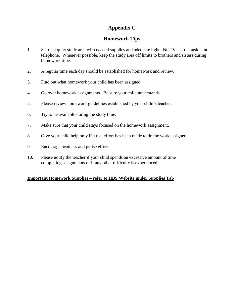# **Appendix C**

# **Homework Tips**

- 1. Set up a quiet study area with needed supplies and adequate light. No TV—no music—no telephone. Whenever possible, keep the study area off limits to brothers and sisters during homework time.
- 2. A regular time each day should be established for homework and review.
- 3. Find out what homework your child has been assigned.
- 4. Go over homework assignments. Be sure your child understands.
- 5. Please review homework guidelines established by your child's teacher.
- 6. Try to be available during the study time.
- 7. Make sure that your child stays focused on the homework assignment.
- 8. Give your child help only if a real effort has been made to do the work assigned.
- 9. Encourage neatness and praise effort.
- 10. Please notify the teacher if your child spends an excessive amount of time completing assignments or if any other difficulty is experienced.

#### **Important Homework Supplies – refer to HBS Website under Supplies Tab**